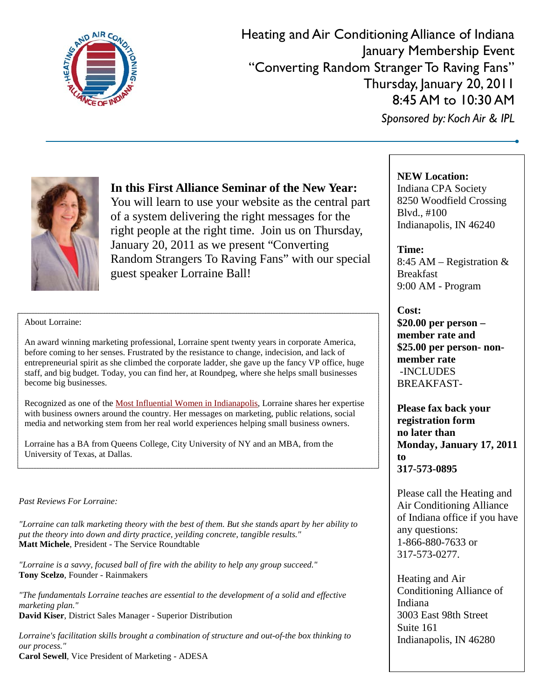

Heating and Air Conditioning Alliance of Indiana January Membership Event "Converting Random Stranger To Raving Fans" Thursday, January 20, 2011 8:45 AM to 10:30 AM *Sponsored by: Koch Air & IPL*



**In this First Alliance Seminar of the New Year:** 

You will learn to use your website as the central part of a system delivering the right messages for the right people at the right time. Join us on Thursday, January 20, 2011 as we present "Converting Random Strangers To Raving Fans" with our special guest speaker Lorraine Ball!

### **NEW Location:**

Indiana CPA Society 8250 Woodfield Crossing Blvd., #100 Indianapolis, IN 46240

**Time:** 8:45 AM – Registration & Breakfast 9:00 AM - Program

### **Cost:**

**\$20.00 per person – member rate and \$25.00 per person- nonmember rate** -INCLUDES BREAKFAST-

**Please fax back your registration form no later than Monday, January 17, 2011 to 317-573-0895**

Please call the Heating and Air Conditioning Alliance of Indiana office if you have any questions: 1-866-880-7633 or 317-573-0277.

Heating and Air Conditioning Alliance of Indiana 3003 East 98th Street Suite 161 Indianapolis, IN 46280

#### About Lorraine:

An award winning marketing professional, Lorraine spent twenty years in corporate America, before coming to her senses. Frustrated by the resistance to change, indecision, and lack of entrepreneurial spirit as she climbed the corporate ladder, she gave up the fancy VP office, huge staff, and big budget. Today, you can find her, at Roundpeg, where she helps small businesses become big businesses.

Recognized as one of th[e Most Influential Women in Indianapolis,](http://indy-biz.com/2008/10/10/lorraine-ball-named-to-ibj-most-influential-women-of-the-year-award/) Lorraine shares her expertise with business owners around the country. Her messages on marketing, public relations, social media and networking stem from her real world experiences helping small business owners.

Lorraine has a BA from Queens College, City University of NY and an MBA, from the University of Texas, at Dallas.

#### *Past Reviews For Lorraine:*

*"Lorraine can talk marketing theory with the best of them. But she stands apart by her ability to put the theory into down and dirty practice, yeilding concrete, tangible results."* **Matt Michele**, President - The Service Roundtable

*"Lorraine is a savvy, focused ball of fire with the ability to help any group succeed."*  **Tony Scelzo**, Founder - Rainmakers

*"The fundamentals Lorraine teaches are essential to the development of a solid and effective marketing plan."*  **David Kiser**, District Sales Manager - Superior Distribution

*Lorraine's facilitation skills brought a combination of structure and out-of-the box thinking to our process."*

**Carol Sewell**, Vice President of Marketing - ADESA